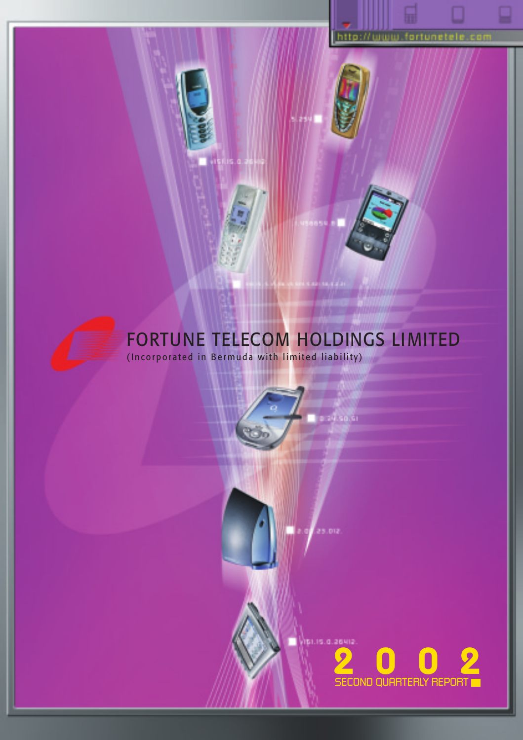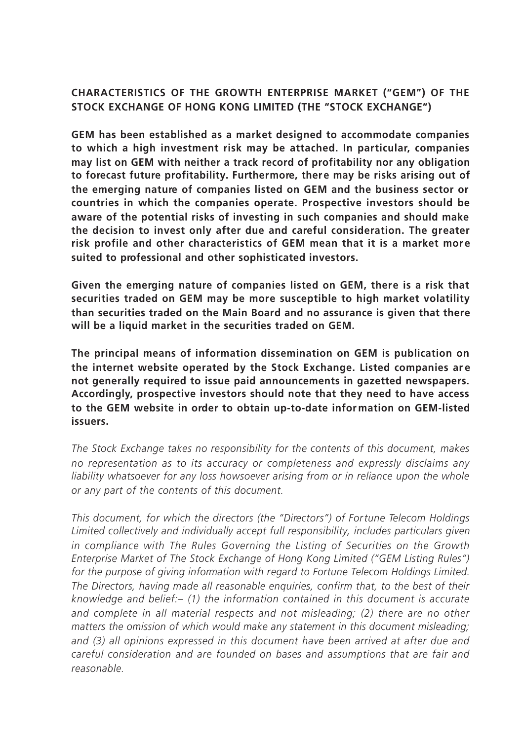## **CHARACTERISTICS OF THE GROWTH ENTERPRISE MARKET ("GEM") OF THE STOCK EXCHANGE OF HONG KONG LIMITED (THE "STOCK EXCHANGE")**

**GEM has been established as a market designed to accommodate companies to which a high investment risk may be attached. In particular, companies may list on GEM with neither a track record of profitability nor any obligation to forecast future profitability. Furthermore, there may be risks arising out of the emerging nature of companies listed on GEM and the business sector or countries in which the companies operate. Prospective investors should be aware of the potential risks of investing in such companies and should make the decision to invest only after due and careful consideration. The greater** risk profile and other characteristics of GEM mean that it is a market more **suited to professional and other sophisticated investors.**

**Given the emerging nature of companies listed on GEM, there is a risk that securities traded on GEM may be more susceptible to high market volatility than securities traded on the Main Board and no assurance is given that there will be a liquid market in the securities traded on GEM.**

**The principal means of information dissemination on GEM is publication on the internet website operated by the Stock Exchange. Listed companies ar e not generally required to issue paid announcements in gazetted newspapers. Accordingly, prospective investors should note that they need to have access to the GEM website in order to obtain up-to-date infor mation on GEM-listed issuers.**

*The Stock Exchange takes no responsibility for the contents of this document, makes no representation as to its accuracy or completeness and expressly disclaims any liability whatsoever for any loss howsoever arising from or in reliance upon the whole or any part of the contents of this document.*

*This document, for which the directors (the "Directors") of Fortune Telecom Holdings Limited collectively and individually accept full responsibility, includes particulars given in compliance with The Rules Governing the Listing of Securities on the Growth Enterprise Market of The Stock Exchange of Hong Kong Limited ("GEM Listing Rules") for the purpose of giving information with regard to Fortune Telecom Holdings Limited. The Directors, having made all reasonable enquiries, confirm that, to the best of their knowledge and belief:– (1) the information contained in this document is accurate and complete in all material respects and not misleading; (2) there are no other matters the omission of which would make any statement in this document misleading; and (3) all opinions expressed in this document have been arrived at after due and careful consideration and are founded on bases and assumptions that are fair and reasonable.*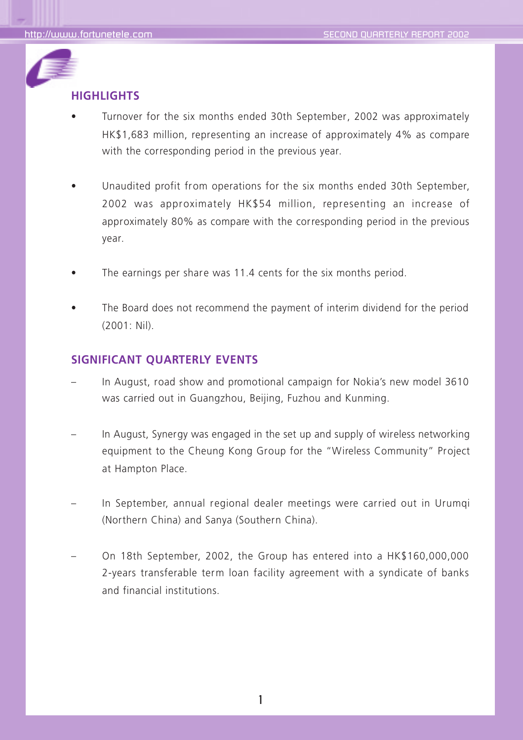

## **HIGHLIGHTS**

- Turnover for the six months ended 30th September, 2002 was approximately HK\$1,683 million, representing an increase of approximately 4% as compare with the corresponding period in the previous year.
- Unaudited profit from operations for the six months ended 30th September, 2002 was approximately HK\$54 million, representing an increase of approximately 80% as compare with the corresponding period in the previous year.
- The earnings per share was 11.4 cents for the six months period.
- The Board does not recommend the payment of interim dividend for the period (2001: Nil).

## **SIGNIFICANT QUARTERLY EVENTS**

- In August, road show and promotional campaign for Nokia's new model 3610 was carried out in Guangzhou, Beijing, Fuzhou and Kunming.
- In August, Synergy was engaged in the set up and supply of wireless networking equipment to the Cheung Kong Group for the "Wireless Community" Project at Hampton Place.
- In September, annual regional dealer meetings were carried out in Urumgi (Northern China) and Sanya (Southern China).
- On 18th September, 2002, the Group has entered into a HK\$160,000,000 2-years transferable term loan facility agreement with a syndicate of banks and financial institutions.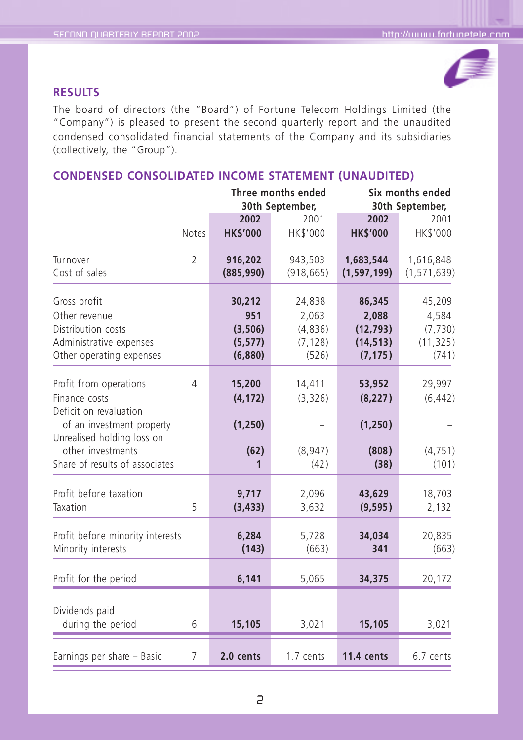![](_page_3_Picture_2.jpeg)

## **RESULTS**

The board of directors (the "Board") of Fortune Telecom Holdings Limited (the "Company") is pleased to present the second quarterly report and the unaudited condensed consolidated financial statements of the Company and its subsidiaries (collectively, the "Group").

## **CONDENSED CONSOLIDATED INCOME STATEMENT (UNAUDITED)**

|                                                                                                                                                                                     |                |                                                 | Three months ended<br>30th September,           |                                                       | Six months ended<br>30th September,               |
|-------------------------------------------------------------------------------------------------------------------------------------------------------------------------------------|----------------|-------------------------------------------------|-------------------------------------------------|-------------------------------------------------------|---------------------------------------------------|
|                                                                                                                                                                                     | Notes          | 2002<br><b>HK\$'000</b>                         | 2001<br>HK\$'000                                | 2002<br><b>HK\$'000</b>                               | 2001<br>HK\$'000                                  |
| Turnover<br>Cost of sales                                                                                                                                                           | 2              | 916,202<br>(885,990)                            | 943,503<br>(918, 665)                           | 1,683,544<br>(1, 597, 199)                            | 1,616,848<br>(1, 571, 639)                        |
| Gross profit<br>Other revenue<br>Distribution costs<br>Administrative expenses<br>Other operating expenses                                                                          |                | 30,212<br>951<br>(3,506)<br>(5, 577)<br>(6,880) | 24,838<br>2,063<br>(4,836)<br>(7, 128)<br>(526) | 86,345<br>2.088<br>(12, 793)<br>(14, 513)<br>(7, 175) | 45,209<br>4,584<br>(7, 730)<br>(11, 325)<br>(741) |
| Profit from operations<br>Finance costs<br>Deficit on revaluation<br>of an investment property<br>Unrealised holding loss on<br>other investments<br>Share of results of associates | 4              | 15,200<br>(4, 172)<br>(1, 250)<br>(62)<br>1     | 14,411<br>(3,326)<br>(8,947)<br>(42)            | 53,952<br>(8, 227)<br>(1, 250)<br>(808)<br>(38)       | 29,997<br>(6, 442)<br>(4, 751)<br>(101)           |
| Profit before taxation<br>Taxation                                                                                                                                                  | 5              | 9,717<br>(3, 433)                               | 2,096<br>3,632                                  | 43,629<br>(9, 595)                                    | 18,703<br>2,132                                   |
| Profit before minority interests<br>Minority interests                                                                                                                              |                | 6,284<br>(143)                                  | 5,728<br>(663)                                  | 34,034<br>341                                         | 20,835<br>(663)                                   |
| Profit for the period                                                                                                                                                               |                | 6,141                                           | 5,065                                           | 34,375                                                | 20,172                                            |
| Dividends paid<br>during the period                                                                                                                                                 | 6              | 15,105                                          | 3,021                                           | 15,105                                                | 3,021                                             |
| Earnings per share - Basic                                                                                                                                                          | $\overline{7}$ | 2.0 cents                                       | 1.7 cents                                       | <b>11.4 cents</b>                                     | 6.7 cents                                         |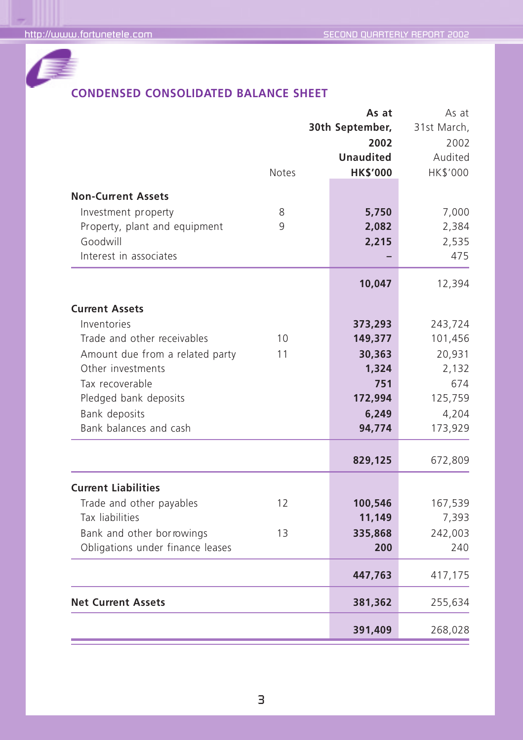![](_page_4_Picture_2.jpeg)

# **CONDENSED CONSOLIDATED BALANCE SHEET**

|                                  | <b>Notes</b> | As at<br>30th September,<br>2002<br><b>Unaudited</b><br><b>HK\$'000</b> | As at<br>31st March,<br>2002<br>Audited<br>HK\$'000 |
|----------------------------------|--------------|-------------------------------------------------------------------------|-----------------------------------------------------|
| <b>Non-Current Assets</b>        |              |                                                                         |                                                     |
| Investment property              | 8            | 5,750                                                                   | 7,000                                               |
| Property, plant and equipment    | 9            | 2,082                                                                   | 2,384                                               |
| Goodwill                         |              | 2,215                                                                   | 2,535                                               |
| Interest in associates           |              |                                                                         | 475                                                 |
|                                  |              | 10,047                                                                  | 12,394                                              |
| <b>Current Assets</b>            |              |                                                                         |                                                     |
| Inventories                      |              | 373,293                                                                 | 243,724                                             |
| Trade and other receivables      | 10           | 149,377                                                                 | 101,456                                             |
| Amount due from a related party  | 11           | 30,363                                                                  | 20,931                                              |
| Other investments                |              | 1,324                                                                   | 2,132                                               |
| Tax recoverable                  |              | 751                                                                     | 674                                                 |
| Pledged bank deposits            |              | 172,994                                                                 | 125,759                                             |
| Bank deposits                    |              | 6,249                                                                   | 4,204                                               |
| Bank balances and cash           |              | 94,774                                                                  | 173,929                                             |
|                                  |              | 829,125                                                                 | 672,809                                             |
| <b>Current Liabilities</b>       |              |                                                                         |                                                     |
| Trade and other payables         | 12           | 100,546                                                                 | 167,539                                             |
| Tax liabilities                  |              | 11,149                                                                  | 7,393                                               |
| Bank and other borrowings        | 13           | 335,868                                                                 | 242,003                                             |
| Obligations under finance leases |              | 200                                                                     | 240                                                 |
|                                  |              | 447,763                                                                 | 417,175                                             |
| <b>Net Current Assets</b>        |              | 381,362                                                                 | 255,634                                             |
|                                  |              | 391,409                                                                 | 268,028                                             |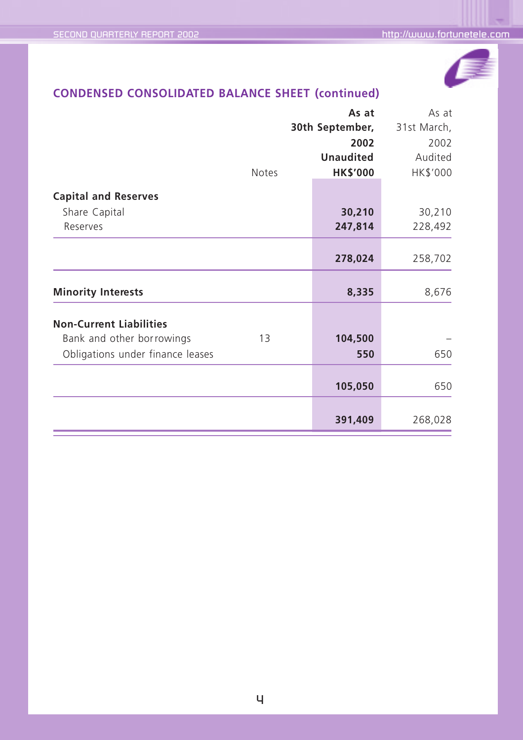![](_page_5_Picture_2.jpeg)

# **CONDENSED CONSOLIDATED BALANCE SHEET (continued)**

|                                  | As at            |             |  |
|----------------------------------|------------------|-------------|--|
|                                  | 30th September,  | 31st March, |  |
|                                  | 2002             | 2002        |  |
|                                  | <b>Unaudited</b> |             |  |
| <b>Notes</b>                     | <b>HK\$'000</b>  | HK\$'000    |  |
|                                  |                  |             |  |
| <b>Capital and Reserves</b>      |                  |             |  |
| Share Capital                    | 30,210           | 30,210      |  |
| Reserves                         | 247,814          | 228,492     |  |
|                                  |                  |             |  |
|                                  | 278,024          | 258,702     |  |
| <b>Minority Interests</b>        | 8,335            | 8,676       |  |
|                                  |                  |             |  |
| <b>Non-Current Liabilities</b>   |                  |             |  |
| Bank and other borrowings<br>13  | 104,500          |             |  |
| Obligations under finance leases | 550              | 650         |  |
|                                  |                  |             |  |
|                                  | 105,050          | 650         |  |
|                                  |                  |             |  |
|                                  | 391,409          | 268,028     |  |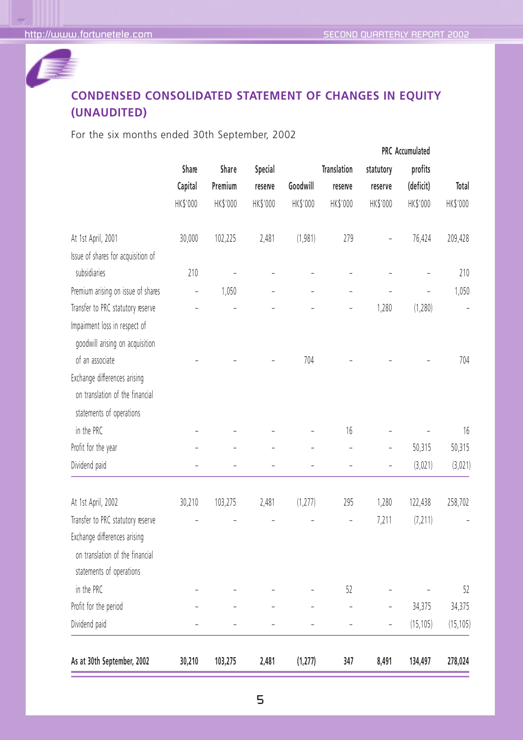![](_page_6_Picture_2.jpeg)

# **CONDENSED CONSOLIDATED STATEMENT OF CHANGES IN EQUITY (UNAUDITED)**

For the six months ended 30th September, 2002

| Share    | Share              | Special               |          | <b>Translation</b> | statutory                    | profits        |                     |
|----------|--------------------|-----------------------|----------|--------------------|------------------------------|----------------|---------------------|
| Capital  | Premium            | reserve               | Goodwill | reserve            | reserve                      | (deficit)      | Total               |
| HK\$'000 | HK\$'000           | HK\$'000              | HK\$'000 | HK\$'000           | HK\$'000                     | HK\$'000       | HK\$'000            |
| 30,000   | 102,225            | 2,481                 | (1,981)  | 279                | ÷,                           | 76,424         | 209,428             |
|          |                    |                       |          |                    |                              |                | 210                 |
|          |                    |                       |          |                    |                              |                |                     |
|          |                    |                       |          |                    |                              |                | 1,050               |
|          |                    |                       |          |                    |                              |                | ÷,                  |
|          |                    |                       |          |                    |                              |                |                     |
|          |                    |                       | 704      |                    |                              |                | 704                 |
|          |                    |                       |          |                    |                              |                |                     |
|          |                    |                       |          |                    |                              |                |                     |
|          |                    |                       |          | 16                 |                              |                | 16                  |
|          |                    |                       |          | $\overline{a}$     | Ē,                           | 50,315         | 50,315              |
|          |                    |                       |          | $\overline{a}$     |                              | (3,021)        | (3,021)             |
| 30,210   | 103,275            | 2,481                 | (1, 277) | 295                | 1,280                        | 122,438        | 258,702             |
|          |                    |                       |          |                    | 7,211                        | (7, 211)       |                     |
|          |                    |                       |          |                    |                              |                |                     |
|          |                    |                       |          |                    |                              |                |                     |
|          |                    |                       |          |                    |                              |                |                     |
|          |                    |                       |          | 52                 |                              |                | 52                  |
|          |                    |                       |          |                    | $\qquad \qquad \blacksquare$ | 34,375         | 34,375              |
|          |                    |                       |          | ÷,                 | ÷,                           | (15, 105)      | (15, 105)           |
|          |                    |                       |          |                    |                              |                | 278,024             |
|          | 210<br>÷<br>30,210 | ÷<br>1,050<br>103,275 | 2,481    | (1, 277)           | 347                          | 1,280<br>8,491 | (1, 280)<br>134,497 |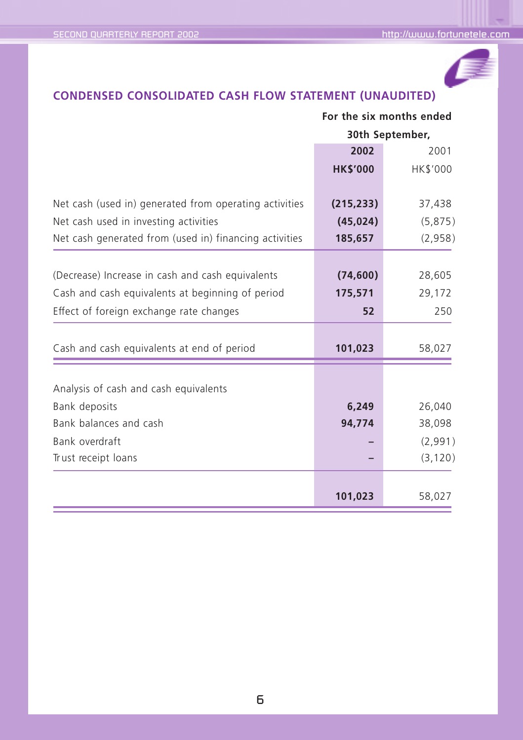![](_page_7_Picture_2.jpeg)

# **CONDENSED CONSOLIDATED CASH FLOW STATEMENT (UNAUDITED)**

| For the six months ended |                      |  |
|--------------------------|----------------------|--|
|                          | 30th September,      |  |
| 2002                     | 2001                 |  |
| <b>HK\$'000</b>          | HK\$'000             |  |
| (215, 233)               | 37,438               |  |
| (45, 024)                | (5,875)              |  |
| 185,657                  | (2,958)              |  |
|                          |                      |  |
|                          | 28,605               |  |
| 175,571                  | 29,172               |  |
| 52                       | 250                  |  |
| 101,023                  | 58,027               |  |
|                          |                      |  |
| 6,249                    | 26,040               |  |
| 94,774                   | 38,098               |  |
|                          | (2,991)              |  |
|                          | (3, 120)             |  |
|                          | 58,027               |  |
|                          | (74, 600)<br>101,023 |  |

## 6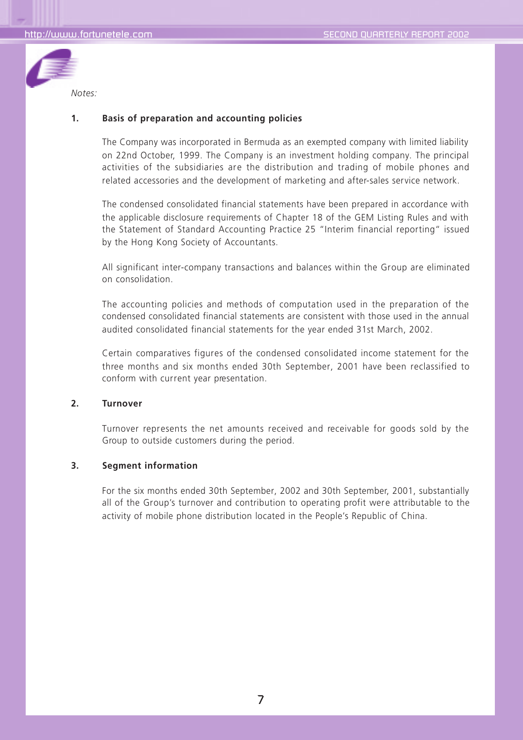![](_page_8_Picture_2.jpeg)

#### **1. Basis of preparation and accounting policies**

The Company was incorporated in Bermuda as an exempted company with limited liability on 22nd October, 1999. The Company is an investment holding company. The principal activities of the subsidiaries are the distribution and trading of mobile phones and related accessories and the development of marketing and after-sales service network.

The condensed consolidated financial statements have been prepared in accordance with the applicable disclosure requirements of Chapter 18 of the GEM Listing Rules and with the Statement of Standard Accounting Practice 25 "Interim financial reporting" issued by the Hong Kong Society of Accountants.

All significant inter-company transactions and balances within the Group are eliminated on consolidation.

The accounting policies and methods of computation used in the preparation of the condensed consolidated financial statements are consistent with those used in the annual audited consolidated financial statements for the year ended 31st March, 2002.

Certain comparatives figures of the condensed consolidated income statement for the three months and six months ended 30th September, 2001 have been reclassified to conform with current year presentation.

#### **2. Turnover**

Turnover represents the net amounts received and receivable for goods sold by the Group to outside customers during the period.

#### **3. Segment information**

For the six months ended 30th September, 2002 and 30th September, 2001, substantially all of the Group's turnover and contribution to operating profit were attributable to the activity of mobile phone distribution located in the People's Republic of China.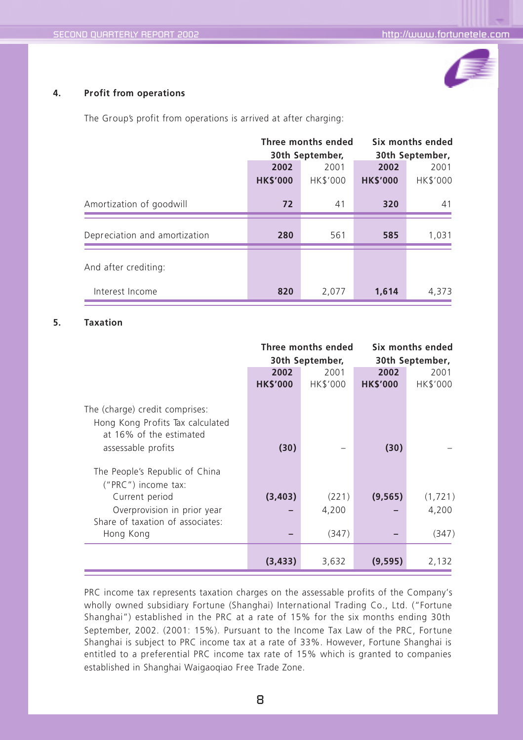![](_page_9_Picture_2.jpeg)

### **4. Profit from operations**

The Group's profit from operations is arrived at after charging:

|                               | Three months ended |                 |                 | Six months ended |  |  |
|-------------------------------|--------------------|-----------------|-----------------|------------------|--|--|
|                               |                    | 30th September, |                 | 30th September,  |  |  |
|                               | 2002               | 2001            | 2002            | 2001             |  |  |
|                               | <b>HK\$'000</b>    | HK\$'000        | <b>HK\$'000</b> | HK\$'000         |  |  |
| Amortization of goodwill      | 72                 | 41              | 320             | 41               |  |  |
| Depreciation and amortization | 280                | 561             | 585             | 1,031            |  |  |
| And after crediting:          |                    |                 |                 |                  |  |  |
| Interest Income               | 820                | 2,077           | 1,614           | 4,373            |  |  |

#### **5. Taxation**

|                                                                                               | Three months ended<br>30th September, |          |                 | Six months ended<br>30th September, |
|-----------------------------------------------------------------------------------------------|---------------------------------------|----------|-----------------|-------------------------------------|
|                                                                                               | 2002                                  | 2001     | 2002            | 2001                                |
|                                                                                               | <b>HK\$'000</b>                       | HK\$'000 | <b>HK\$'000</b> | HK\$'000                            |
| The (charge) credit comprises:<br>Hong Kong Profits Tax calculated<br>at 16% of the estimated |                                       |          |                 |                                     |
| assessable profits                                                                            | (30)                                  |          | (30)            |                                     |
| The People's Republic of China<br>("PRC") income tax:                                         |                                       |          |                 |                                     |
| Current period                                                                                | (3,403)                               | (221)    | (9, 565)        | (1,721)                             |
| Overprovision in prior year<br>Share of taxation of associates:                               |                                       | 4,200    |                 | 4,200                               |
| Hong Kong                                                                                     |                                       | (347)    |                 | (347)                               |
|                                                                                               | (3, 433)                              | 3,632    | (9, 595)        | 2,132                               |

PRC income tax represents taxation charges on the assessable profits of the Company's wholly owned subsidiary Fortune (Shanghai) International Trading Co., Ltd. ("Fortune Shanghai") established in the PRC at a rate of 15% for the six months ending 30th September, 2002. (2001: 15%). Pursuant to the Income Tax Law of the PRC, Fortune Shanghai is subject to PRC income tax at a rate of 33%. However, Fortune Shanghai is entitled to a preferential PRC income tax rate of 15% which is granted to companies established in Shanghai Waigaoqiao Free Trade Zone.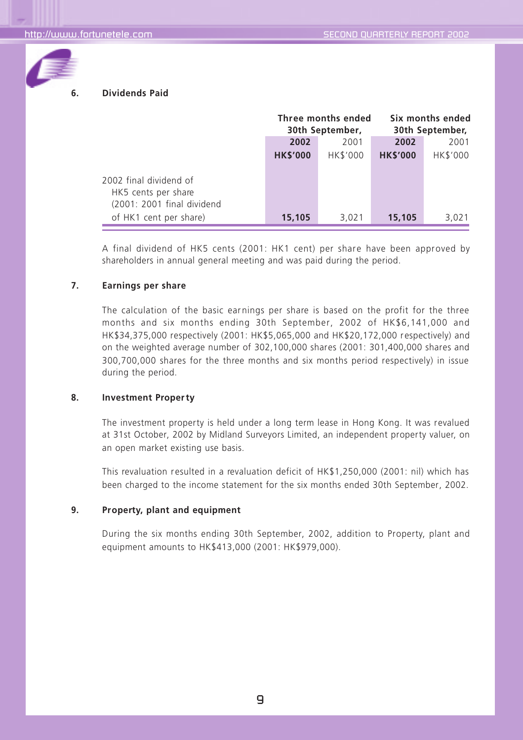![](_page_10_Picture_2.jpeg)

### **6. Dividends Paid**

|                                                                                                       | Three months ended<br>30th September, |          |                 | Six months ended<br>30th September, |
|-------------------------------------------------------------------------------------------------------|---------------------------------------|----------|-----------------|-------------------------------------|
|                                                                                                       | 2002                                  | 2001     | 2002            | 2001                                |
|                                                                                                       | <b>HK\$'000</b>                       | HK\$'000 | <b>HK\$'000</b> | <b>HK\$'000</b>                     |
| 2002 final dividend of<br>HK5 cents per share<br>(2001: 2001 final dividend<br>of HK1 cent per share) | 15,105                                | 3,021    | 15,105          | 3.021                               |

A final dividend of HK5 cents (2001: HK1 cent) per share have been approved by shareholders in annual general meeting and was paid during the period.

#### **7. Earnings per share**

The calculation of the basic earnings per share is based on the profit for the three months and six months ending 30th September, 2002 of HK\$6,141,000 and HK\$34,375,000 respectively (2001: HK\$5,065,000 and HK\$20,172,000 respectively) and on the weighted average number of 302,100,000 shares (2001: 301,400,000 shares and 300,700,000 shares for the three months and six months period respectively) in issue during the period.

#### **8. Investment Property**

The investment property is held under a long term lease in Hong Kong. It was revalued at 31st October, 2002 by Midland Surveyors Limited, an independent property valuer, on an open market existing use basis.

This revaluation resulted in a revaluation deficit of HK\$1,250,000 (2001: nil) which has been charged to the income statement for the six months ended 30th September, 2002.

#### **9. Property, plant and equipment**

During the six months ending 30th September, 2002, addition to Property, plant and equipment amounts to HK\$413,000 (2001: HK\$979,000).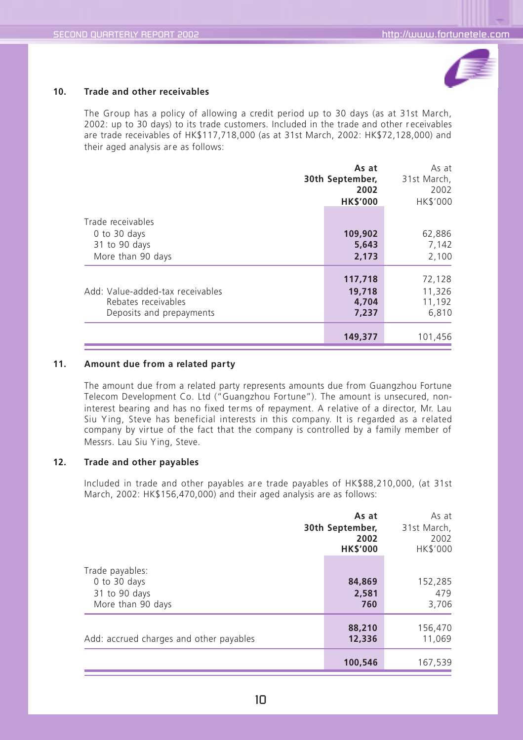![](_page_11_Picture_2.jpeg)

#### **10. Trade and other receivables**

The Group has a policy of allowing a credit period up to 30 days (as at 31st March, 2002: up to 30 days) to its trade customers. Included in the trade and other r eceivables are trade receivables of HK\$117,718,000 (as at 31st March, 2002: HK\$72,128,000) and their aged analysis are as follows:

|                                                                                     | As at<br>30th September,<br>2002<br><b>HKS'000</b> |                                     |
|-------------------------------------------------------------------------------------|----------------------------------------------------|-------------------------------------|
| Trade receivables<br>0 to 30 days<br>31 to 90 days<br>More than 90 days             | 109,902<br>5,643<br>2,173                          | 62,886<br>7,142<br>2,100            |
| Add: Value-added-tax receivables<br>Rebates receivables<br>Deposits and prepayments | 117,718<br>19,718<br>4,704<br>7,237                | 72,128<br>11,326<br>11,192<br>6,810 |
|                                                                                     | 149,377                                            | 101,456                             |

#### **11. Amount due from a related party**

The amount due from a related party represents amounts due from Guangzhou Fortune Telecom Development Co. Ltd ("Guangzhou Fortune"). The amount is unsecured, noninterest bearing and has no fixed ter ms of repayment. A relative of a director, Mr. Lau Siu Y ing, Steve has beneficial interests in this company. It is r egarded as a r elated company by virtue of the fact that the company is controlled by a family member of Messrs. Lau Siu Ying, Steve.

#### **12. Trade and other payables**

Included in trade and other payables are trade payables of HK\$88,210,000, (at 31st March, 2002: HK\$156,470,000) and their aged analysis are as follows:

|                                                                       | As at<br>30th September,<br>2002<br><b>HK\$'000</b> | As at<br>31st March,<br>2002<br>HK\$'000 |  |
|-----------------------------------------------------------------------|-----------------------------------------------------|------------------------------------------|--|
| Trade payables:<br>0 to 30 days<br>31 to 90 days<br>More than 90 days | 84,869<br>2,581<br>760                              | 152,285<br>479<br>3,706                  |  |
| Add: accrued charges and other payables                               | 88,210<br>12,336                                    | 156,470<br>11,069                        |  |
|                                                                       | 100,546                                             | 167,539                                  |  |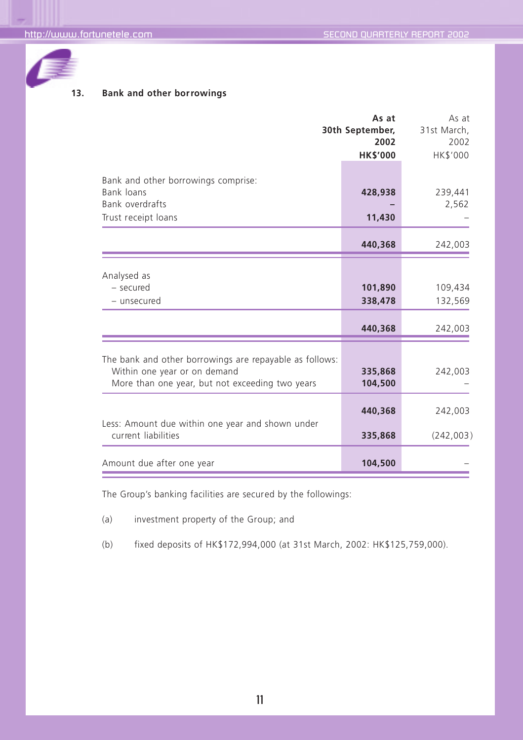![](_page_12_Picture_2.jpeg)

## **13. Bank and other borrowings**

|                                                                                                                                            | As at<br>30th September,<br>2002<br><b>HK\$'000</b> | As at<br>31st March,<br>2002<br>HK\$'000 |
|--------------------------------------------------------------------------------------------------------------------------------------------|-----------------------------------------------------|------------------------------------------|
| Bank and other borrowings comprise:<br>Bank loans<br><b>Bank overdrafts</b><br>Trust receipt loans                                         | 428,938<br>11,430                                   | 239,441<br>2,562                         |
|                                                                                                                                            | 440,368                                             | 242,003                                  |
| Analysed as<br>- secured<br>- unsecured                                                                                                    | 101,890<br>338,478<br>440,368                       | 109,434<br>132,569<br>242,003            |
| The bank and other borrowings are repayable as follows:<br>Within one year or on demand<br>More than one year, but not exceeding two years | 335,868<br>104,500                                  | 242,003                                  |
| Less: Amount due within one year and shown under<br>current liabilities                                                                    | 440,368<br>335,868                                  | 242,003<br>(242,003)                     |
| Amount due after one year                                                                                                                  | 104,500                                             |                                          |

The Group's banking facilities are secured by the followings:

(a) investment property of the Group; and

(b) fixed deposits of HK\$172,994,000 (at 31st March, 2002: HK\$125,759,000).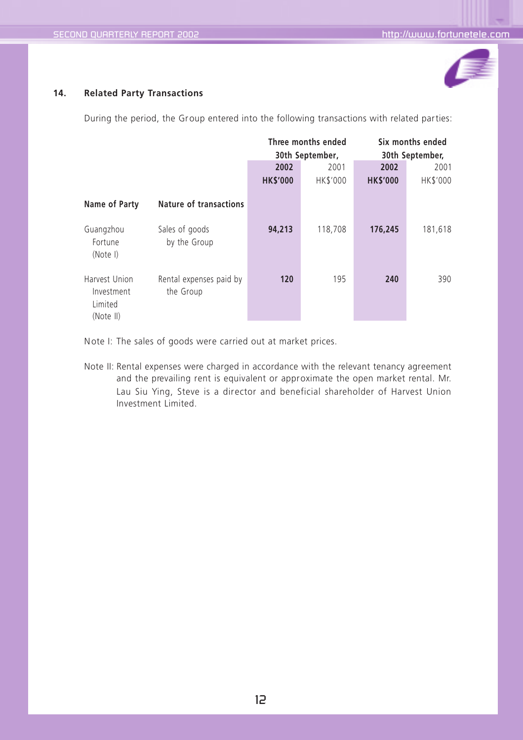![](_page_13_Picture_2.jpeg)

#### **14. Related Party Transactions**

During the period, the Group entered into the following transactions with related parties:

|                                                     |                                      | Three months ended |                 | Six months ended |                 |  |
|-----------------------------------------------------|--------------------------------------|--------------------|-----------------|------------------|-----------------|--|
|                                                     |                                      |                    | 30th September, |                  | 30th September, |  |
|                                                     |                                      | 2002               | 2001            | 2002             | 2001            |  |
|                                                     |                                      | <b>HK\$'000</b>    | HK\$'000        | <b>HK\$'000</b>  | HK\$'000        |  |
| Name of Party                                       | <b>Nature of transactions</b>        |                    |                 |                  |                 |  |
| Guangzhou<br>Fortune<br>(Note I)                    | Sales of goods<br>by the Group       | 94,213             | 118,708         | 176,245          | 181,618         |  |
| Harvest Union<br>Investment<br>Limited<br>(Note II) | Rental expenses paid by<br>the Group | 120                | 195             | 240              | 390             |  |

Note I: The sales of goods were carried out at market prices.

Note II: Rental expenses were charged in accordance with the relevant tenancy agreement and the prevailing rent is equivalent or approximate the open market rental. Mr. Lau Siu Ying, Steve is a director and beneficial shareholder of Harvest Union Investment Limited.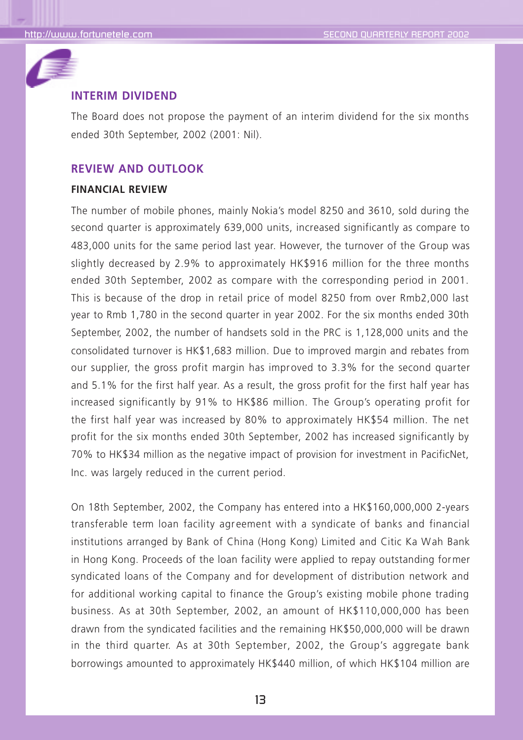![](_page_14_Picture_2.jpeg)

## **INTERIM DIVIDEND**

The Board does not propose the payment of an interim dividend for the six months ended 30th September, 2002 (2001: Nil).

### **REVIEW AND OUTLOOK**

## **FINANCIAL REVIEW**

The number of mobile phones, mainly Nokia's model 8250 and 3610, sold during the second quarter is approximately 639,000 units, increased significantly as compare to 483,000 units for the same period last year. However, the turnover of the Group was slightly decreased by 2.9% to approximately HK\$916 million for the three months ended 30th September, 2002 as compare with the corresponding period in 2001. This is because of the drop in retail price of model 8250 from over Rmb2,000 last year to Rmb 1,780 in the second quarter in year 2002. For the six months ended 30th September, 2002, the number of handsets sold in the PRC is 1,128,000 units and the consolidated turnover is HK\$1,683 million. Due to improved margin and rebates from our supplier, the gross profit margin has improved to 3.3% for the second quarter and 5.1% for the first half year. As a result, the gross profit for the first half year has increased significantly by 91% to HK\$86 million. The Group's operating profit for the first half year was increased by 80% to approximately HK\$54 million. The net profit for the six months ended 30th September, 2002 has increased significantly by 70% to HK\$34 million as the negative impact of provision for investment in PacificNet, Inc. was largely reduced in the current period.

On 18th September, 2002, the Company has entered into a HK\$160,000,000 2-years transferable term loan facility agr eement with a syndicate of banks and financial institutions arranged by Bank of China (Hong Kong) Limited and Citic Ka Wah Bank in Hong Kong. Proceeds of the loan facility were applied to repay outstanding former syndicated loans of the Company and for development of distribution network and for additional working capital to finance the Group's existing mobile phone trading business. As at 30th September, 2002, an amount of HK\$110,000,000 has been drawn from the syndicated facilities and the remaining HK\$50,000,000 will be drawn in the third quarter. As at 30th September, 2002, the Group's aggregate bank borrowings amounted to approximately HK\$440 million, of which HK\$104 million are

13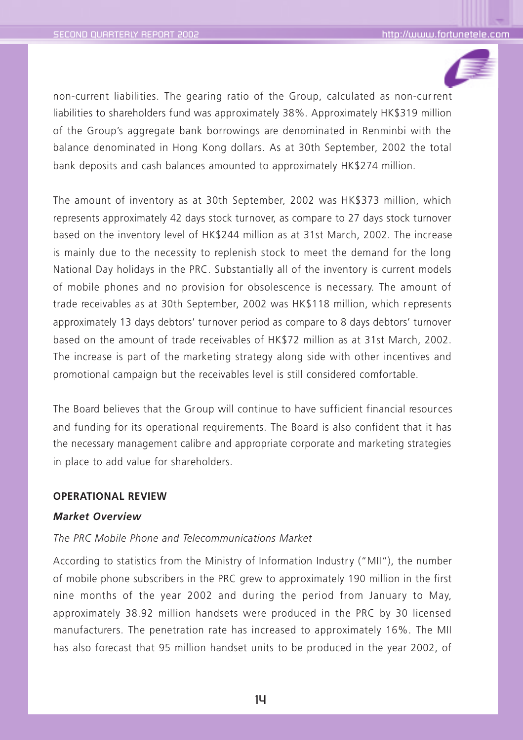![](_page_15_Picture_2.jpeg)

non-current liabilities. The gearing ratio of the Group, calculated as non-cur rent liabilities to shareholders fund was approximately 38%. Approximately HK\$319 million of the Group's aggregate bank borrowings are denominated in Renminbi with the balance denominated in Hong Kong dollars. As at 30th September, 2002 the total bank deposits and cash balances amounted to approximately HK\$274 million.

The amount of inventory as at 30th September, 2002 was HK\$373 million, which represents approximately 42 days stock turnover, as compare to 27 days stock turnover based on the inventory level of HK\$244 million as at 31st March, 2002. The increase is mainly due to the necessity to replenish stock to meet the demand for the long National Day holidays in the PRC. Substantially all of the inventory is current models of mobile phones and no provision for obsolescence is necessary. The amount of trade receivables as at 30th September, 2002 was HK\$118 million, which r epresents approximately 13 days debtors' turnover period as compare to 8 days debtors' turnover based on the amount of trade receivables of HK\$72 million as at 31st March, 2002. The increase is part of the marketing strategy along side with other incentives and promotional campaign but the receivables level is still considered comfortable.

The Board believes that the Group will continue to have sufficient financial resources and funding for its operational requirements. The Board is also confident that it has the necessary management calibre and appropriate corporate and marketing strategies in place to add value for shareholders.

### **OPERATIONAL REVIEW**

#### *Market Overview*

### *The PRC Mobile Phone and Telecommunications Market*

According to statistics from the Ministry of Information Industry ("MII"), the number of mobile phone subscribers in the PRC grew to approximately 190 million in the first nine months of the year 2002 and during the period from January to May, approximately 38.92 million handsets were produced in the PRC by 30 licensed manufacturers. The penetration rate has increased to approximately 16%. The MII has also forecast that 95 million handset units to be produced in the year 2002, of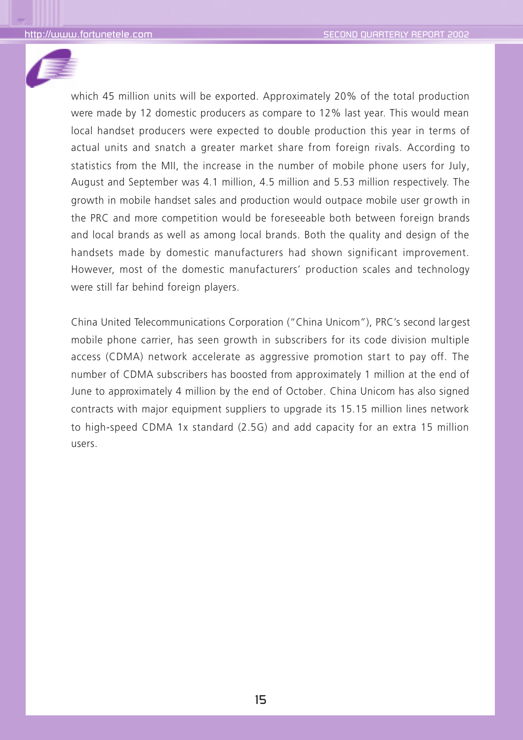![](_page_16_Picture_2.jpeg)

which 45 million units will be exported. Approximately 20% of the total production were made by 12 domestic producers as compare to 12% last year. This would mean local handset producers were expected to double production this year in terms of actual units and snatch a greater market share from foreign rivals. According to statistics from the MII, the increase in the number of mobile phone users for July, August and September was 4.1 million, 4.5 million and 5.53 million respectively. The growth in mobile handset sales and production would outpace mobile user gr owth in the PRC and more competition would be foreseeable both between foreign brands and local brands as well as among local brands. Both the quality and design of the handsets made by domestic manufacturers had shown significant improvement. However, most of the domestic manufacturers' production scales and technology were still far behind foreign players.

China United Telecommunications Corporation ("China Unicom"), PRC's second largest mobile phone carrier, has seen growth in subscribers for its code division multiple access (CDMA) network accelerate as aggressive promotion start to pay off. The number of CDMA subscribers has boosted from approximately 1 million at the end of June to approximately 4 million by the end of October. China Unicom has also signed contracts with major equipment suppliers to upgrade its 15.15 million lines network to high-speed CDMA 1x standard (2.5G) and add capacity for an extra 15 million users.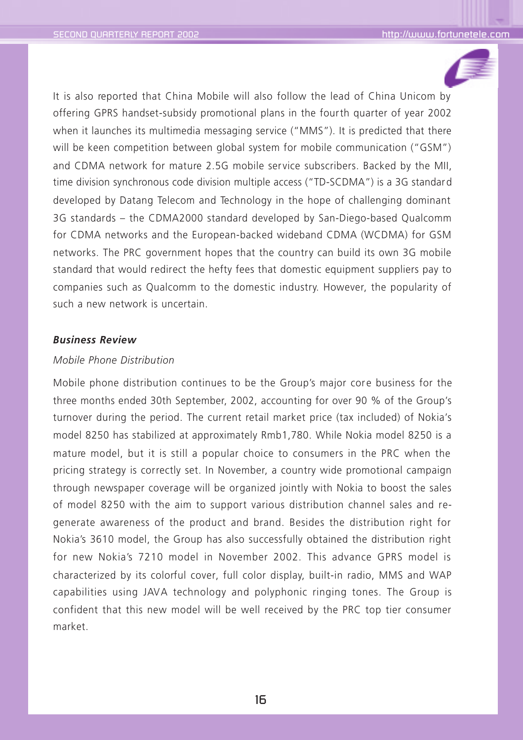![](_page_17_Picture_2.jpeg)

It is also reported that China Mobile will also follow the lead of China Unicom by offering GPRS handset-subsidy promotional plans in the fourth quarter of year 2002 when it launches its multimedia messaging service ("MMS"). It is predicted that there will be keen competition between global system for mobile communication ("GSM") and CDMA network for mature 2.5G mobile service subscribers. Backed by the MII, time division synchronous code division multiple access ("TD-SCDMA") is a 3G standard developed by Datang Telecom and Technology in the hope of challenging dominant 3G standards – the CDMA2000 standard developed by San-Diego-based Qualcomm for CDMA networks and the European-backed wideband CDMA (WCDMA) for GSM networks. The PRC government hopes that the country can build its own 3G mobile standard that would redirect the hefty fees that domestic equipment suppliers pay to companies such as Qualcomm to the domestic industry. However, the popularity of such a new network is uncertain.

## *Business Review*

## *Mobile Phone Distribution*

Mobile phone distribution continues to be the Group's major core business for the three months ended 30th September, 2002, accounting for over 90 % of the Group's turnover during the period. The current retail market price (tax included) of Nokia's model 8250 has stabilized at approximately Rmb1,780. While Nokia model 8250 is a mature model, but it is still a popular choice to consumers in the PRC when the pricing strategy is correctly set. In November, a country wide promotional campaign through newspaper coverage will be organized jointly with Nokia to boost the sales of model 8250 with the aim to support various distribution channel sales and regenerate awareness of the product and brand. Besides the distribution right for Nokia's 3610 model, the Group has also successfully obtained the distribution right for new Nokia's 7210 model in November 2002. This advance GPRS model is characterized by its colorful cover, full color display, built-in radio, MMS and WAP capabilities using JAVA technology and polyphonic ringing tones. The Group is confident that this new model will be well received by the PRC top tier consumer market.

16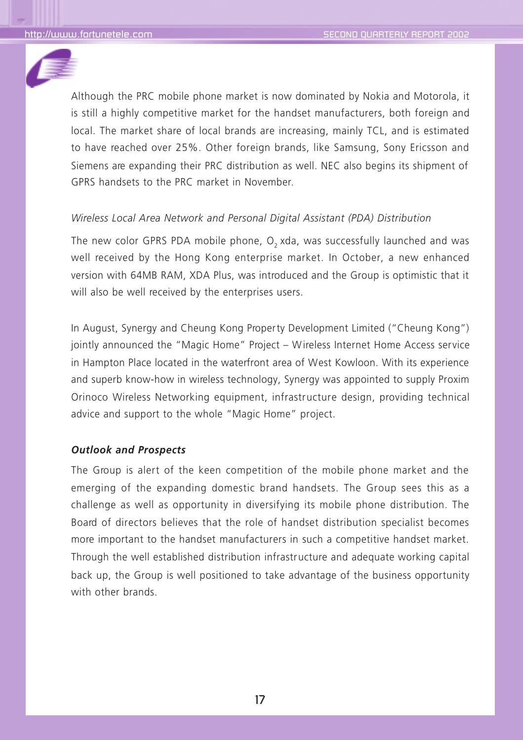![](_page_18_Picture_2.jpeg)

Although the PRC mobile phone market is now dominated by Nokia and Motorola, it is still a highly competitive market for the handset manufacturers, both foreign and local. The market share of local brands are increasing, mainly TCL, and is estimated to have reached over 25%. Other foreign brands, like Samsung, Sony Ericsson and Siemens are expanding their PRC distribution as well. NEC also begins its shipment of GPRS handsets to the PRC market in November.

## *Wireless Local Area Network and Personal Digital Assistant (PDA) Distribution*

The new color GPRS PDA mobile phone, O<sub>2</sub> xda, was successfully launched and was well received by the Hong Kong enterprise market. In October, a new enhanced version with 64MB RAM, XDA Plus, was introduced and the Group is optimistic that it will also be well received by the enterprises users.

In August, Synergy and Cheung Kong Property Development Limited ("Cheung Kong") jointly announced the "Magic Home" Project – Wireless Internet Home Access service in Hampton Place located in the waterfront area of West Kowloon. With its experience and superb know-how in wireless technology, Synergy was appointed to supply Proxim Orinoco Wireless Networking equipment, infrastructure design, providing technical advice and support to the whole "Magic Home" project.

### *Outlook and Prospects*

The Group is alert of the keen competition of the mobile phone market and the emerging of the expanding domestic brand handsets. The Group sees this as a challenge as well as opportunity in diversifying its mobile phone distribution. The Board of directors believes that the role of handset distribution specialist becomes more important to the handset manufacturers in such a competitive handset market. Through the well established distribution infrastructure and adequate working capital back up, the Group is well positioned to take advantage of the business opportunity with other brands.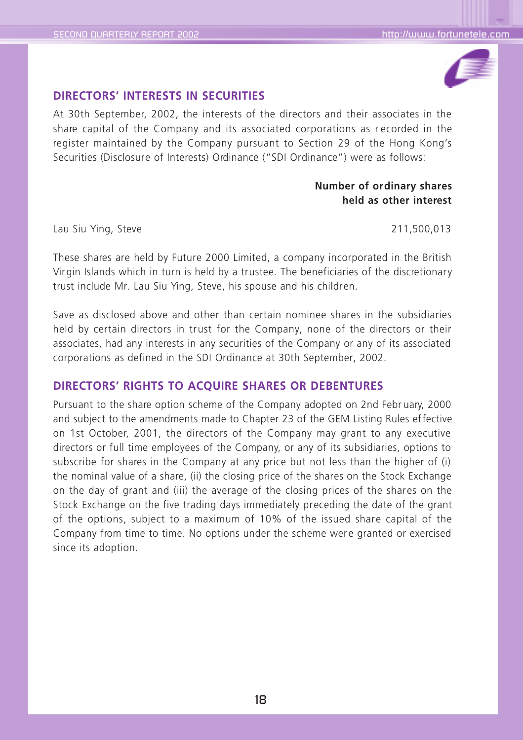![](_page_19_Picture_2.jpeg)

## **DIRECTORS' INTERESTS IN SECURITIES**

At 30th September, 2002, the interests of the directors and their associates in the share capital of the Company and its associated corporations as r ecorded in the register maintained by the Company pursuant to Section 29 of the Hong Kong's Securities (Disclosure of Interests) Ordinance ("SDI Ordinance") were as follows:

## **Number of ordinary shares held as other interest**

Lau Siu Ying, Steve 211,500,013

These shares are held by Future 2000 Limited, a company incorporated in the British Virgin Islands which in turn is held by a trustee. The beneficiaries of the discretionary trust include Mr. Lau Siu Ying, Steve, his spouse and his children.

Save as disclosed above and other than certain nominee shares in the subsidiaries held by certain directors in trust for the Company, none of the directors or their associates, had any interests in any securities of the Company or any of its associated corporations as defined in the SDI Ordinance at 30th September, 2002.

## **DIRECTORS' RIGHTS TO ACQUIRE SHARES OR DEBENTURES**

Pursuant to the share option scheme of the Company adopted on 2nd Febr uary, 2000 and subject to the amendments made to Chapter 23 of the GEM Listing Rules effective on 1st October, 2001, the directors of the Company may grant to any executive directors or full time employees of the Company, or any of its subsidiaries, options to subscribe for shares in the Company at any price but not less than the higher of (i) the nominal value of a share, (ii) the closing price of the shares on the Stock Exchange on the day of grant and (iii) the average of the closing prices of the shares on the Stock Exchange on the five trading days immediately preceding the date of the grant of the options, subject to a maximum of 10% of the issued share capital of the Company from time to time. No options under the scheme were granted or exercised since its adoption.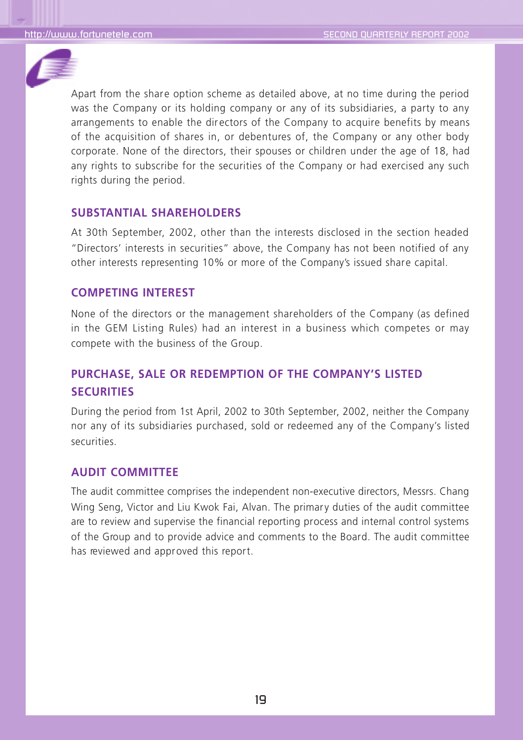![](_page_20_Picture_2.jpeg)

Apart from the share option scheme as detailed above, at no time during the period was the Company or its holding company or any of its subsidiaries, a party to any arrangements to enable the dir ectors of the Company to acquire benefits by means of the acquisition of shares in, or debentures of, the Company or any other body corporate. None of the directors, their spouses or children under the age of 18, had any rights to subscribe for the securities of the Company or had exercised any such rights during the period.

## **SUBSTANTIAL SHAREHOLDERS**

At 30th September, 2002, other than the interests disclosed in the section headed "Directors' interests in securities" above, the Company has not been notified of any other interests representing 10% or more of the Company's issued share capital.

## **COMPETING INTEREST**

None of the directors or the management shareholders of the Company (as defined in the GEM Listing Rules) had an interest in a business which competes or may compete with the business of the Group.

## **PURCHASE, SALE OR REDEMPTION OF THE COMPANY'S LISTED SECURITIES**

During the period from 1st April, 2002 to 30th September, 2002, neither the Company nor any of its subsidiaries purchased, sold or redeemed any of the Company's listed securities.

## **AUDIT COMMITTEE**

The audit committee comprises the independent non-executive directors, Messrs. Chang Wing Seng, Victor and Liu Kwok Fai, Alvan. The primary duties of the audit committee are to review and supervise the financial reporting process and internal control systems of the Group and to provide advice and comments to the Board. The audit committee has reviewed and approved this report.